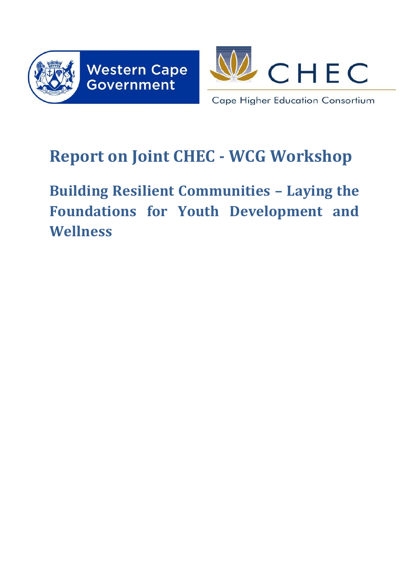



# **Report on Joint CHEC - WCG Workshop**

**Building Resilient Communities – Laying the Foundations for Youth Development and Wellness**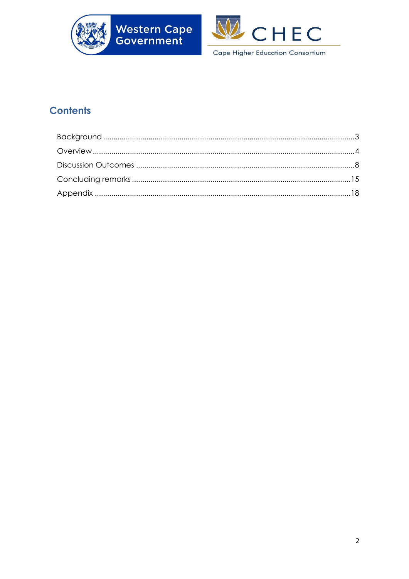

**Western Cape<br>Government** 



Cape Higher Education Consortium

# **Contents**

<span id="page-1-0"></span>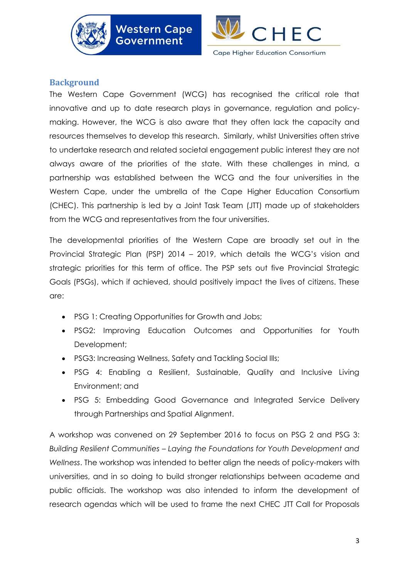

**Western Cape** Government



Cape Higher Education Consortium

#### **Background**

The Western Cape Government (WCG) has recognised the critical role that innovative and up to date research plays in governance, regulation and policymaking. However, the WCG is also aware that they often lack the capacity and resources themselves to develop this research. Similarly, whilst Universities often strive to undertake research and related societal engagement public interest they are not always aware of the priorities of the state. With these challenges in mind, a partnership was established between the WCG and the four universities in the Western Cape, under the umbrella of the Cape Higher Education Consortium (CHEC). This partnership is led by a Joint Task Team (JTT) made up of stakeholders from the WCG and representatives from the four universities.

The developmental priorities of the Western Cape are broadly set out in the Provincial Strategic Plan (PSP) 2014 – 2019, which details the WCG's vision and strategic priorities for this term of office. The PSP sets out five Provincial Strategic Goals (PSGs), which if achieved, should positively impact the lives of citizens. These are:

- PSG 1: Creating Opportunities for Growth and Jobs;
- PSG2: Improving Education Outcomes and Opportunities for Youth Development;
- PSG3: Increasing Wellness, Safety and Tackling Social Ills;
- PSG 4: Enabling a Resilient, Sustainable, Quality and Inclusive Living Environment; and
- PSG 5: Embedding Good Governance and Integrated Service Delivery through Partnerships and Spatial Alignment.

A workshop was convened on 29 September 2016 to focus on PSG 2 and PSG 3: *Building Resilient Communities – Laying the Foundations for Youth Development and Wellness*. The workshop was intended to better align the needs of policy-makers with universities, and in so doing to build stronger relationships between academe and public officials. The workshop was also intended to inform the development of research agendas which will be used to frame the next CHEC JTT Call for Proposals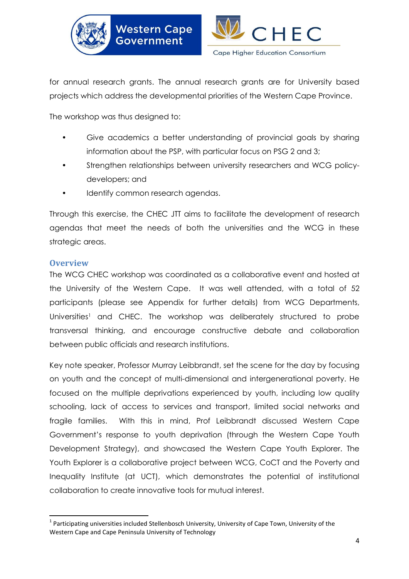





for annual research grants. The annual research grants are for University based projects which address the developmental priorities of the Western Cape Province.

The workshop was thus designed to:

- Give academics a better understanding of provincial goals by sharing information about the PSP, with particular focus on PSG 2 and 3;
- Strengthen relationships between university researchers and WCG policydevelopers; and
- Identify common research agendas.

Through this exercise, the CHEC JTT aims to facilitate the development of research agendas that meet the needs of both the universities and the WCG in these strategic areas.

#### <span id="page-3-0"></span>**Overview**

1

The WCG CHEC workshop was coordinated as a collaborative event and hosted at the University of the Western Cape. It was well attended, with a total of 52 participants (please see Appendix for further details) from WCG Departments, Universities<sup>1</sup> and CHEC. The workshop was deliberately structured to probe transversal thinking, and encourage constructive debate and collaboration between public officials and research institutions.

Key note speaker, Professor Murray Leibbrandt, set the scene for the day by focusing on youth and the concept of multi-dimensional and intergenerational poverty. He focused on the multiple deprivations experienced by youth, including low quality schooling, lack of access to services and transport, limited social networks and fragile families. With this in mind, Prof Leibbrandt discussed Western Cape Government's response to youth deprivation (through the Western Cape Youth Development Strategy), and showcased the Western Cape Youth Explorer. The Youth Explorer is a collaborative project between WCG, CoCT and the Poverty and Inequality Institute (at UCT), which demonstrates the potential of institutional collaboration to create innovative tools for mutual interest.

<sup>&</sup>lt;sup>1</sup> Participating universities included Stellenbosch University, University of Cape Town, University of the Western Cape and Cape Peninsula University of Technology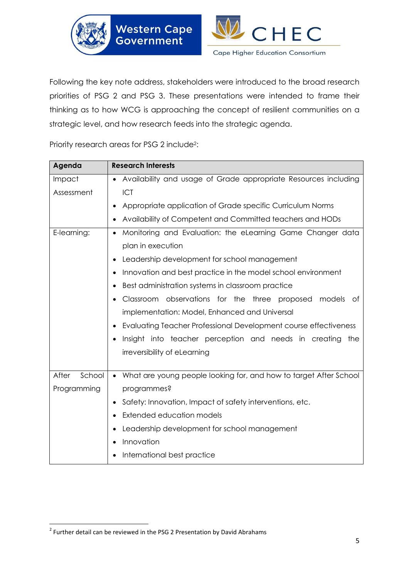



Following the key note address, stakeholders were introduced to the broad research priorities of PSG 2 and PSG 3. These presentations were intended to frame their thinking as to how WCG is approaching the concept of resilient communities on a strategic level, and how research feeds into the strategic agenda.

Priority research areas for PSG 2 include<sup>2</sup>:

Western Cape<br>Government

| Agenda          | <b>Research Interests</b>                                                      |  |
|-----------------|--------------------------------------------------------------------------------|--|
| Impact          | Availability and usage of Grade appropriate Resources including<br>$\bullet$   |  |
| Assessment      | ICT                                                                            |  |
|                 | Appropriate application of Grade specific Curriculum Norms<br>٠                |  |
|                 | Availability of Competent and Committed teachers and HODs                      |  |
| E-learning:     | Monitoring and Evaluation: the eLearning Game Changer data<br>$\bullet$        |  |
|                 | plan in execution                                                              |  |
|                 | Leadership development for school management                                   |  |
|                 | Innovation and best practice in the model school environment                   |  |
|                 | Best administration systems in classroom practice                              |  |
|                 | Classroom observations for the three proposed<br>models<br>Оf                  |  |
|                 | implementation: Model, Enhanced and Universal                                  |  |
|                 | Evaluating Teacher Professional Development course effectiveness               |  |
|                 | Insight into teacher perception and needs in creating<br>the<br>$\bullet$      |  |
|                 | irreversibility of eLearning                                                   |  |
|                 |                                                                                |  |
| School<br>After | What are young people looking for, and how to target After School<br>$\bullet$ |  |
| Programming     | programmes?                                                                    |  |
|                 | Safety: Innovation, Impact of safety interventions, etc.<br>$\bullet$          |  |
|                 | Extended education models                                                      |  |
|                 | Leadership development for school management<br>٠                              |  |
|                 | Innovation                                                                     |  |
|                 | International best practice                                                    |  |

**<sup>.</sup>**  $2$  Further detail can be reviewed in the PSG 2 Presentation by David Abrahams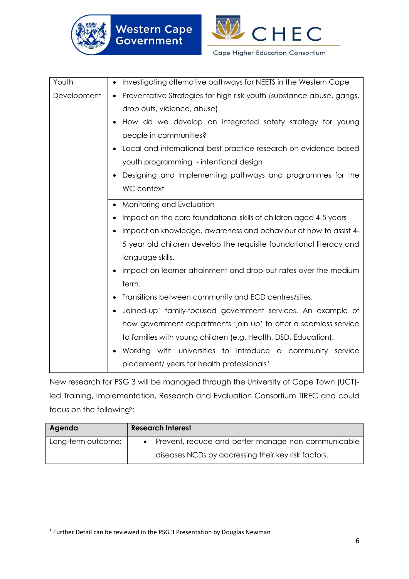



| Youth       | Investigating alternative pathways for NEETS in the Western Cape<br>$\bullet$     |  |
|-------------|-----------------------------------------------------------------------------------|--|
| Development | Preventative Strategies for high risk youth (substance abuse, gangs,<br>$\bullet$ |  |
|             | drop outs, violence, abuse)                                                       |  |
|             | How do we develop an integrated safety strategy for young                         |  |
|             | people in communities?                                                            |  |
|             | Local and international best practice research on evidence based                  |  |
|             | youth programming - intentional design                                            |  |
|             | Designing and Implementing pathways and programmes for the                        |  |
|             | WC context                                                                        |  |
|             | Monitoring and Evaluation<br>$\bullet$                                            |  |
|             | Impact on the core foundational skills of children aged 4-5 years                 |  |
|             | Impact on knowledge, awareness and behaviour of how to assist 4-                  |  |
|             | 5 year old children develop the requisite foundational literacy and               |  |
|             | language skills.                                                                  |  |
|             | Impact on learner attainment and drop-out rates over the medium                   |  |
|             | term.                                                                             |  |
|             | Transitions between community and ECD centres/sites.                              |  |
|             | Joined-up' family-focused government services. An example of                      |  |
|             | how government departments 'join up' to offer a seamless service                  |  |
|             | to families with young children (e.g. Health, DSD, Education).                    |  |
|             | Working with universities to introduce a community service                        |  |
|             | placement/years for health professionals"                                         |  |

New research for PSG 3 will be managed through the University of Cape Town (UCT) led Training, Implementation, Research and Evaluation Consortium TIREC and could focus on the following<sup>3</sup>:

| Agenda             | <b>Research Interest</b>                             |
|--------------------|------------------------------------------------------|
| Long-term outcome: | • Prevent, reduce and better manage non communicable |
|                    | diseases NCDs by addressing their key risk factors.  |

**<sup>.</sup>**  $3$  Further Detail can be reviewed in the PSG 3 Presentation by Douglas Newman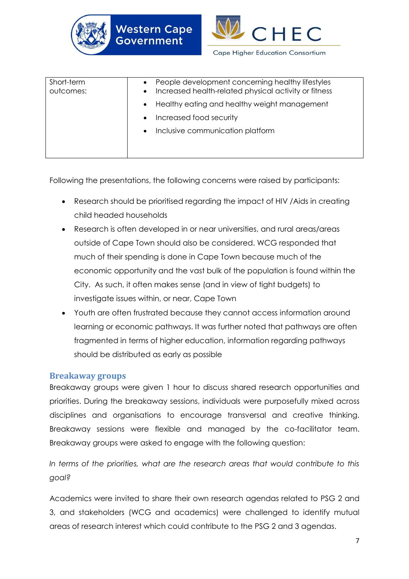



| Short-term<br>outcomes: | People development concerning healthy lifestyles<br>Increased health-related physical activity or fitness |
|-------------------------|-----------------------------------------------------------------------------------------------------------|
|                         | Healthy eating and healthy weight management                                                              |
|                         | Increased food security                                                                                   |
|                         | Inclusive communication platform                                                                          |
|                         |                                                                                                           |
|                         |                                                                                                           |

Following the presentations, the following concerns were raised by participants:

- Research should be prioritised regarding the impact of HIV /Aids in creating child headed households
- Research is often developed in or near universities, and rural areas/areas outside of Cape Town should also be considered. WCG responded that much of their spending is done in Cape Town because much of the economic opportunity and the vast bulk of the population is found within the City. As such, it often makes sense (and in view of tight budgets) to investigate issues within, or near, Cape Town
- Youth are often frustrated because they cannot access information around learning or economic pathways. It was further noted that pathways are often fragmented in terms of higher education, information regarding pathways should be distributed as early as possible

#### **Breakaway groups**

Breakaway groups were given 1 hour to discuss shared research opportunities and priorities. During the breakaway sessions, individuals were purposefully mixed across disciplines and organisations to encourage transversal and creative thinking. Breakaway sessions were flexible and managed by the co-facilitator team. Breakaway groups were asked to engage with the following question:

*In terms of the priorities, what are the research areas that would contribute to this goal?*

Academics were invited to share their own research agendas related to PSG 2 and 3, and stakeholders (WCG and academics) were challenged to identify mutual areas of research interest which could contribute to the PSG 2 and 3 agendas.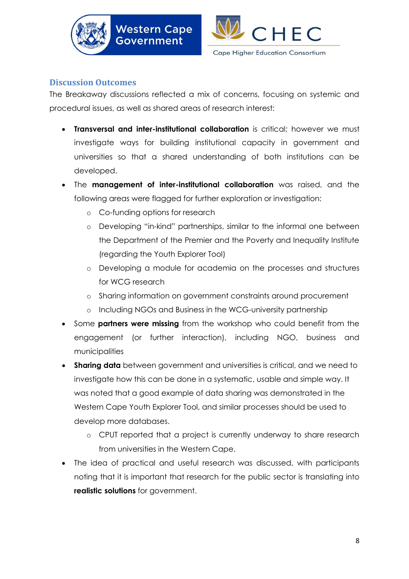

<span id="page-7-0"></span>**Discussion Outcomes**



The Breakaway discussions reflected a mix of concerns, focusing on systemic and procedural issues, as well as shared areas of research interest:

- **Transversal and inter-institutional collaboration** is critical; however we must investigate ways for building institutional capacity in government and universities so that a shared understanding of both institutions can be developed.
- The **management of inter-institutional collaboration** was raised, and the following areas were flagged for further exploration or investigation:
	- o Co-funding options for research
	- o Developing "in-kind" partnerships, similar to the informal one between the Department of the Premier and the Poverty and Inequality Institute (regarding the Youth Explorer Tool)
	- o Developing a module for academia on the processes and structures for WCG research
	- o Sharing information on government constraints around procurement
	- o Including NGOs and Business in the WCG-university partnership
- Some **partners were missing** from the workshop who could benefit from the engagement (or further interaction), including NGO, business and municipalities
- **Sharing data** between government and universities is critical, and we need to investigate how this can be done in a systematic, usable and simple way. It was noted that a good example of data sharing was demonstrated in the Western Cape Youth Explorer Tool, and similar processes should be used to develop more databases.
	- o CPUT reported that a project is currently underway to share research from universities in the Western Cape.
- The idea of practical and useful research was discussed, with participants noting that it is important that research for the public sector is translating into **realistic solutions** for government.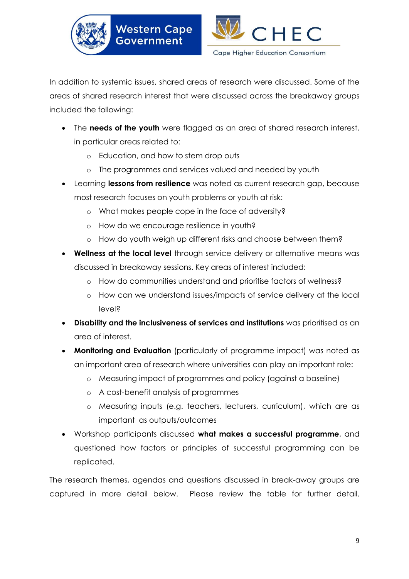



In addition to systemic issues, shared areas of research were discussed. Some of the areas of shared research interest that were discussed across the breakaway groups included the following:

- The **needs of the youth** were flagged as an area of shared research interest, in particular areas related to:
	- o Education, and how to stem drop outs
	- o The programmes and services valued and needed by youth
- Learning **lessons from resilience** was noted as current research gap, because most research focuses on youth problems or youth at risk:
	- o What makes people cope in the face of adversity?
	- o How do we encourage resilience in youth?
	- o How do youth weigh up different risks and choose between them?
- **Wellness at the local level** through service delivery or alternative means was discussed in breakaway sessions. Key areas of interest included:
	- o How do communities understand and prioritise factors of wellness?
	- o How can we understand issues/impacts of service delivery at the local level?
- **Disability and the inclusiveness of services and institutions** was prioritised as an area of interest.
- **Monitoring and Evaluation** (particularly of programme impact) was noted as an important area of research where universities can play an important role:
	- o Measuring impact of programmes and policy (against a baseline)
	- o A cost-benefit analysis of programmes
	- o Measuring inputs (e.g. teachers, lecturers, curriculum), which are as important as outputs/outcomes
- Workshop participants discussed **what makes a successful programme**, and questioned how factors or principles of successful programming can be replicated.

The research themes, agendas and questions discussed in break-away groups are captured in more detail below. Please review the table for further detail.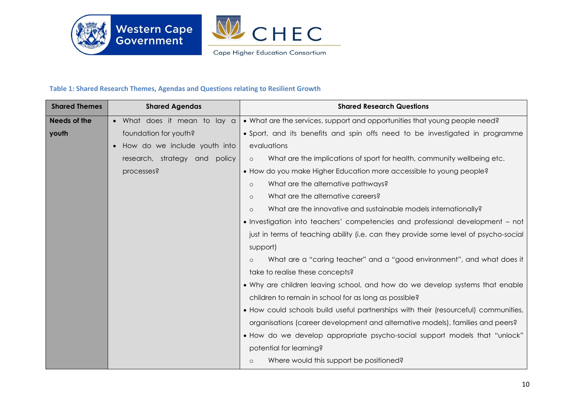

#### **Table 1: Shared Research Themes, Agendas and Questions relating to Resilient Growth**

| <b>Shared Themes</b> | <b>Shared Agendas</b>         | <b>Shared Research Questions</b>                                                     |
|----------------------|-------------------------------|--------------------------------------------------------------------------------------|
| <b>Needs of the</b>  | • What does it mean to lay a  | • What are the services, support and opportunities that young people need?           |
| youth                | foundation for youth?         | • Sport, and its benefits and spin offs need to be investigated in programme         |
|                      | How do we include youth into  | evaluations                                                                          |
|                      | research, strategy and policy | What are the implications of sport for health, community wellbeing etc.<br>$\circ$   |
|                      | processes?                    | • How do you make Higher Education more accessible to young people?                  |
|                      |                               | What are the alternative pathways?<br>$\circ$                                        |
|                      |                               | What are the alternative careers?<br>$\circ$                                         |
|                      |                               | What are the innovative and sustainable models internationally?<br>$\circ$           |
|                      |                               | • Investigation into teachers' competencies and professional development – not       |
|                      |                               | just in terms of teaching ability (i.e. can they provide some level of psycho-social |
|                      |                               | support)                                                                             |
|                      |                               | What are a "caring teacher" and a "good environment", and what does it               |
|                      |                               | take to realise these concepts?                                                      |
|                      |                               | • Why are children leaving school, and how do we develop systems that enable         |
|                      |                               | children to remain in school for as long as possible?                                |
|                      |                               | • How could schools build useful partnerships with their (resourceful) communities,  |
|                      |                               | organisations (career development and alternative models), families and peers?       |
|                      |                               | • How do we develop appropriate psycho-social support models that "unlock"           |
|                      |                               | potential for learning?                                                              |
|                      |                               | Where would this support be positioned?<br>$\circ$                                   |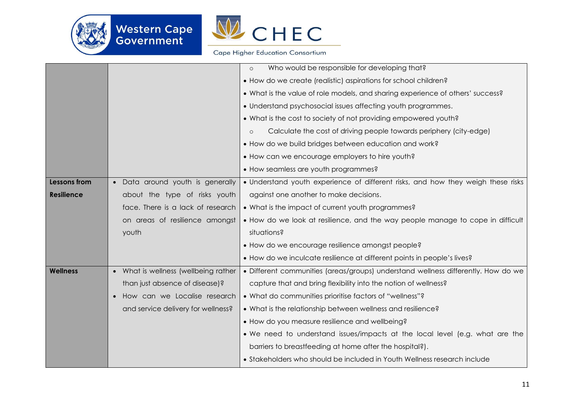

Western Cape<br>Government



|                   |                                      | Who would be responsible for developing that?<br>$\circ$                          |
|-------------------|--------------------------------------|-----------------------------------------------------------------------------------|
|                   |                                      | • How do we create (realistic) aspirations for school children?                   |
|                   |                                      | • What is the value of role models, and sharing experience of others' success?    |
|                   |                                      | • Understand psychosocial issues affecting youth programmes.                      |
|                   |                                      | • What is the cost to society of not providing empowered youth?                   |
|                   |                                      | Calculate the cost of driving people towards periphery (city-edge)<br>$\Omega$    |
|                   |                                      | • How do we build bridges between education and work?                             |
|                   |                                      | • How can we encourage employers to hire youth?                                   |
|                   |                                      | • How seamless are youth programmes?                                              |
| Lessons from      | • Data around youth is generally     | • Understand youth experience of different risks, and how they weigh these risks  |
| <b>Resilience</b> | about the type of risks youth        | against one another to make decisions.                                            |
|                   | face. There is a lack of research    | • What is the impact of current youth programmes?                                 |
|                   | on areas of resilience amongst       | • How do we look at resilience, and the way people manage to cope in difficult    |
|                   | youth                                | situations?                                                                       |
|                   |                                      | • How do we encourage resilience amongst people?                                  |
|                   |                                      | • How do we inculcate resilience at different points in people's lives?           |
| <b>Wellness</b>   | • What is wellness (wellbeing rather | • Different communities (areas/groups) understand wellness differently. How do we |
|                   | than just absence of disease)?       | capture that and bring flexibility into the notion of wellness?                   |
|                   | How can we Localise research         | • What do communities prioritise factors of "wellness"?                           |
|                   | and service delivery for wellness?   | • What is the relationship between wellness and resilience?                       |
|                   |                                      | • How do you measure resilience and wellbeing?                                    |
|                   |                                      | • We need to understand issues/impacts at the local level (e.g. what are the      |
|                   |                                      | barriers to breastfeeding at home after the hospital?).                           |
|                   |                                      | • Stakeholders who should be included in Youth Wellness research include          |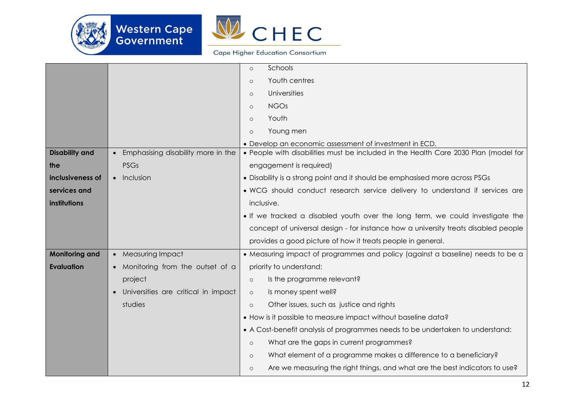



Cape Higher Education Consortium

|                       |                                      | Schools<br>$\circ$                                                                     |
|-----------------------|--------------------------------------|----------------------------------------------------------------------------------------|
|                       |                                      | Youth centres<br>$\circ$                                                               |
|                       |                                      | Universities<br>$\circ$                                                                |
|                       |                                      | <b>NGOs</b><br>$\circ$                                                                 |
|                       |                                      | Youth<br>$\circ$                                                                       |
|                       |                                      | Young men<br>$\circ$                                                                   |
|                       |                                      | • Develop an economic assessment of investment in ECD.                                 |
| <b>Disability and</b> | • Emphasising disability more in the | . People with disabilities must be included in the Health Care 2030 Plan (model for    |
| the                   | <b>PSGs</b>                          | engagement is required)                                                                |
| inclusiveness of      | • Inclusion                          | • Disability is a strong point and it should be emphasised more across PSGs            |
| services and          |                                      | . WCG should conduct research service delivery to understand if services are           |
| institutions          |                                      | inclusive.                                                                             |
|                       |                                      | • If we tracked a disabled youth over the long term, we could investigate the          |
|                       |                                      | concept of universal design - for instance how a university treats disabled people     |
|                       |                                      | provides a good picture of how it treats people in general.                            |
| <b>Monitoring and</b> | • Measuring Impact                   | • Measuring impact of programmes and policy (against a baseline) needs to be a         |
| <b>Evaluation</b>     | • Monitoring from the outset of a    | priority to understand:                                                                |
|                       | project                              | Is the programme relevant?<br>$\circ$                                                  |
|                       | Universities are critical in impact  | Is money spent well?<br>$\circ$                                                        |
|                       | studies                              | Other issues, such as justice and rights<br>$\circ$                                    |
|                       |                                      | • How is it possible to measure impact without baseline data?                          |
|                       |                                      | • A Cost-benefit analysis of programmes needs to be undertaken to understand:          |
|                       |                                      | What are the gaps in current programmes?<br>$\circ$                                    |
|                       |                                      | What element of a programme makes a difference to a beneficiary?<br>$\circ$            |
|                       |                                      | Are we measuring the right things, and what are the best indicators to use?<br>$\circ$ |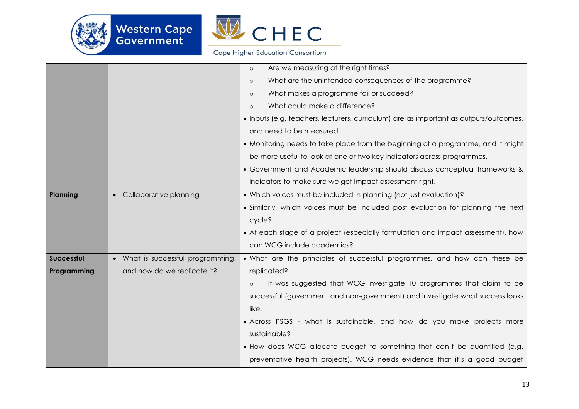

Western Cape<br>Government



|                   |                                              | Are we measuring at the right times?<br>$\circ$                                       |
|-------------------|----------------------------------------------|---------------------------------------------------------------------------------------|
|                   |                                              | What are the unintended consequences of the programme?<br>$\circ$                     |
|                   |                                              | What makes a programme fail or succeed?<br>$\circ$                                    |
|                   |                                              | What could make a difference?<br>$\circ$                                              |
|                   |                                              | • Inputs (e.g. teachers, lecturers, curriculum) are as important as outputs/outcomes, |
|                   |                                              | and need to be measured.                                                              |
|                   |                                              | • Monitoring needs to take place from the beginning of a programme, and it might      |
|                   |                                              | be more useful to look at one or two key indicators across programmes.                |
|                   |                                              | • Government and Academic leadership should discuss conceptual frameworks &           |
|                   |                                              | indicators to make sure we get impact assessment right.                               |
| Planning          | • Collaborative planning                     | • Which voices must be included in planning (not just evaluation)?                    |
|                   |                                              | • Similarly, which voices must be included post evaluation for planning the next      |
|                   |                                              | cycle?                                                                                |
|                   |                                              | • At each stage of a project (especially formulation and impact assessment), how      |
|                   |                                              | can WCG include academics?                                                            |
| <b>Successful</b> | What is successful programming,<br>$\bullet$ | • What are the principles of successful programmes, and how can these be              |
| Programming       | and how do we replicate it?                  | replicated?                                                                           |
|                   |                                              | It was suggested that WCG investigate 10 programmes that claim to be<br>$\circ$       |
|                   |                                              | successful (government and non-government) and investigate what success looks         |
|                   |                                              | like.                                                                                 |
|                   |                                              | • Across PSGS - what is sustainable, and how do you make projects more                |
|                   |                                              | sustainable?                                                                          |
|                   |                                              | . How does WCG allocate budget to something that can't be quantified (e.g.            |
|                   |                                              | preventative health projects). WCG needs evidence that it's a good budget             |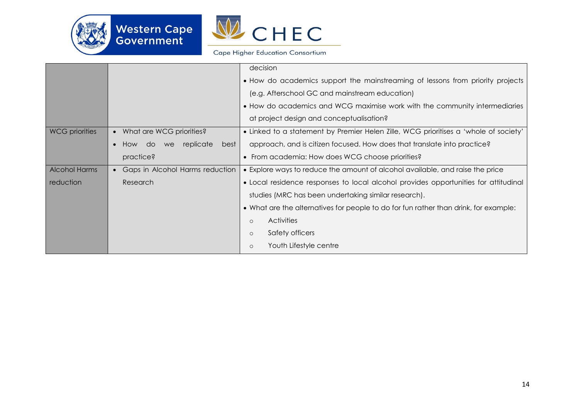





Cape Higher Education Consortium

|                |                                             | decision                                                                             |
|----------------|---------------------------------------------|--------------------------------------------------------------------------------------|
|                |                                             | • How do academics support the mainstreaming of lessons from priority projects       |
|                |                                             | (e.g. Afterschool GC and mainstream education)                                       |
|                |                                             | • How do academics and WCG maximise work with the community intermediaries           |
|                |                                             | at project design and conceptualisation?                                             |
| WCG priorities | • What are WCG priorities?                  | • Linked to a statement by Premier Helen Zille, WCG prioritises a 'whole of society' |
|                | replicate<br>$\bullet$ How do<br>best<br>we | approach, and is citizen focused. How does that translate into practice?             |
|                | practice?                                   | • From academia: How does WCG choose priorities?                                     |
| Alcohol Harms  | • Gaps in Alcohol Harms reduction           | • Explore ways to reduce the amount of alcohol available, and raise the price        |
| reduction      | Research                                    | • Local residence responses to local alcohol provides opportunities for attitudinal  |
|                |                                             | studies (MRC has been undertaking similar research).                                 |
|                |                                             | • What are the alternatives for people to do for fun rather than drink, for example: |
|                |                                             | <b>Activities</b><br>$\circ$                                                         |
|                |                                             | Safety officers<br>$\circ$                                                           |
|                |                                             | Youth Lifestyle centre<br>$\circ$                                                    |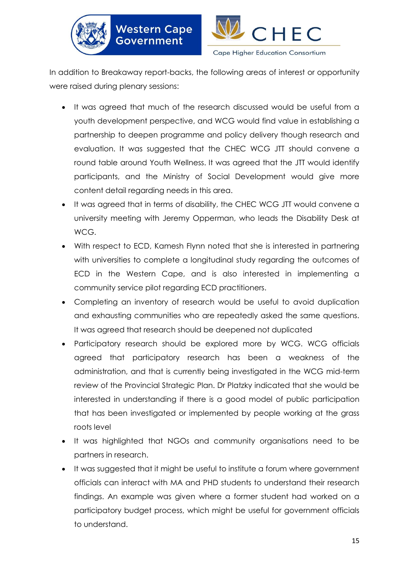

<span id="page-14-0"></span>

In addition to Breakaway report-backs, the following areas of interest or opportunity were raised during plenary sessions:

**Western Cape** 

Government

- It was agreed that much of the research discussed would be useful from a youth development perspective, and WCG would find value in establishing a partnership to deepen programme and policy delivery though research and evaluation. It was suggested that the CHEC WCG JTT should convene a round table around Youth Wellness. It was agreed that the JTT would identify participants, and the Ministry of Social Development would give more content detail regarding needs in this area.
- It was agreed that in terms of disability, the CHEC WCG JTT would convene a university meeting with Jeremy Opperman, who leads the Disability Desk at WCG.
- With respect to ECD, Kamesh Flynn noted that she is interested in partnering with universities to complete a longitudinal study regarding the outcomes of ECD in the Western Cape, and is also interested in implementing a community service pilot regarding ECD practitioners.
- Completing an inventory of research would be useful to avoid duplication and exhausting communities who are repeatedly asked the same questions. It was agreed that research should be deepened not duplicated
- Participatory research should be explored more by WCG. WCG officials agreed that participatory research has been a weakness of the administration, and that is currently being investigated in the WCG mid-term review of the Provincial Strategic Plan. Dr Platzky indicated that she would be interested in understanding if there is a good model of public participation that has been investigated or implemented by people working at the grass roots level
- It was highlighted that NGOs and community organisations need to be partners in research.
- It was suggested that it might be useful to institute a forum where government officials can interact with MA and PHD students to understand their research findings. An example was given where a former student had worked on a participatory budget process, which might be useful for government officials to understand.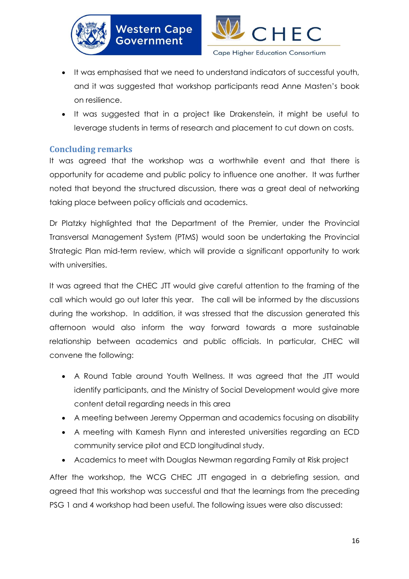



- It was emphasised that we need to understand indicators of successful youth, and it was suggested that workshop participants read Anne Masten's book on resilience.
- It was suggested that in a project like Drakenstein, it might be useful to leverage students in terms of research and placement to cut down on costs.

### **Concluding remarks**

It was agreed that the workshop was a worthwhile event and that there is opportunity for academe and public policy to influence one another. It was further noted that beyond the structured discussion, there was a great deal of networking taking place between policy officials and academics.

Dr Platzky highlighted that the Department of the Premier, under the Provincial Transversal Management System (PTMS) would soon be undertaking the Provincial Strategic Plan mid-term review, which will provide a significant opportunity to work with universities.

It was agreed that the CHEC JTT would give careful attention to the framing of the call which would go out later this year. The call will be informed by the discussions during the workshop. In addition, it was stressed that the discussion generated this afternoon would also inform the way forward towards a more sustainable relationship between academics and public officials. In particular, CHEC will convene the following:

- A Round Table around Youth Wellness. It was agreed that the JTT would identify participants, and the Ministry of Social Development would give more content detail regarding needs in this area
- A meeting between Jeremy Opperman and academics focusing on disability
- A meeting with Kamesh Flynn and interested universities regarding an ECD community service pilot and ECD longitudinal study.
- Academics to meet with Douglas Newman regarding Family at Risk project

After the workshop, the WCG CHEC JTT engaged in a debriefing session, and agreed that this workshop was successful and that the learnings from the preceding PSG 1 and 4 workshop had been useful. The following issues were also discussed: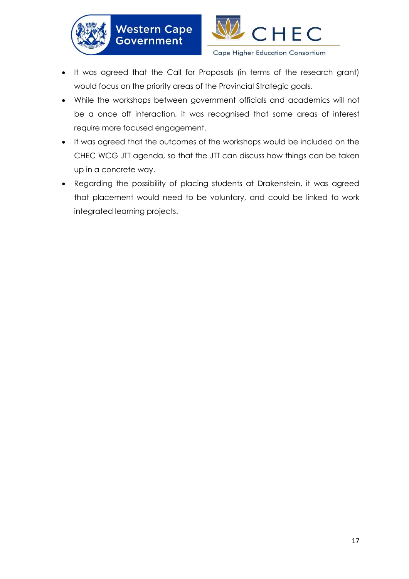





- It was agreed that the Call for Proposals (in terms of the research grant) would focus on the priority areas of the Provincial Strategic goals.
- While the workshops between government officials and academics will not be a once off interaction, it was recognised that some areas of interest require more focused engagement.
- It was agreed that the outcomes of the workshops would be included on the CHEC WCG JTT agenda, so that the JTT can discuss how things can be taken up in a concrete way.
- Regarding the possibility of placing students at Drakenstein, it was agreed that placement would need to be voluntary, and could be linked to work integrated learning projects.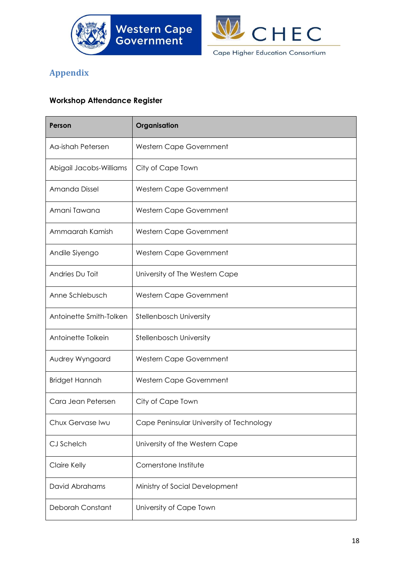



# <span id="page-17-0"></span>**Appendix**

#### **Workshop Attendance Register**

| Person                  | Organisation                             |
|-------------------------|------------------------------------------|
| Aa-ishah Petersen       | Western Cape Government                  |
| Abigail Jacobs-Williams | City of Cape Town                        |
| Amanda Dissel           | Western Cape Government                  |
| Amani Tawana            | Western Cape Government                  |
| Ammaarah Kamish         | Western Cape Government                  |
| Andile Siyengo          | Western Cape Government                  |
| Andries Du Toit         | University of The Western Cape           |
| Anne Schlebusch         | Western Cape Government                  |
| Antoinette Smith-Tolken | Stellenbosch University                  |
| Antoinette Tolkein      | Stellenbosch University                  |
| Audrey Wyngaard         | Western Cape Government                  |
| <b>Bridget Hannah</b>   | Western Cape Government                  |
| Cara Jean Petersen      | City of Cape Town                        |
| Chux Gervase Iwu        | Cape Peninsular University of Technology |
| CJ Schelch              | University of the Western Cape           |
| Claire Kelly            | Cornerstone Institute                    |
| David Abrahams          | Ministry of Social Development           |
| <b>Deborah Constant</b> | University of Cape Town                  |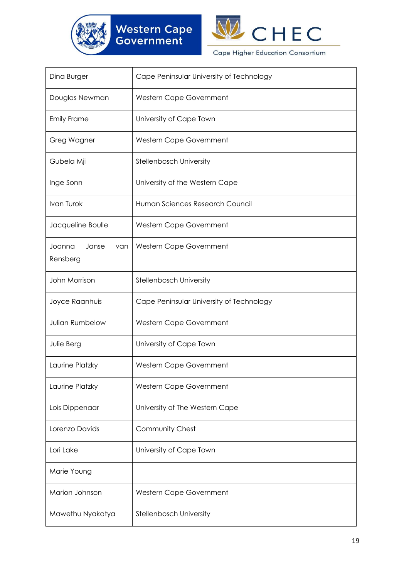



| Dina Burger                        | Cape Peninsular University of Technology |
|------------------------------------|------------------------------------------|
| Douglas Newman                     | Western Cape Government                  |
| <b>Emily Frame</b>                 | University of Cape Town                  |
| <b>Greg Wagner</b>                 | Western Cape Government                  |
| Gubela Mji                         | Stellenbosch University                  |
| Inge Sonn                          | University of the Western Cape           |
| Ivan Turok                         | Human Sciences Research Council          |
| Jacqueline Boulle                  | Western Cape Government                  |
| Joanna<br>Janse<br>van<br>Rensberg | Western Cape Government                  |
| John Morrison                      | Stellenbosch University                  |
| Joyce Raanhuis                     | Cape Peninsular University of Technology |
| Julian Rumbelow                    | Western Cape Government                  |
| Julie Berg                         | University of Cape Town                  |
| Laurine Platzky                    | Western Cape Government                  |
| Laurine Platzky                    | Western Cape Government                  |
| Lois Dippenaar                     | University of The Western Cape           |
| Lorenzo Davids                     | Community Chest                          |
| Lori Lake                          | University of Cape Town                  |
| Marie Young                        |                                          |
| Marion Johnson                     | Western Cape Government                  |
| Mawethu Nyakatya                   | Stellenbosch University                  |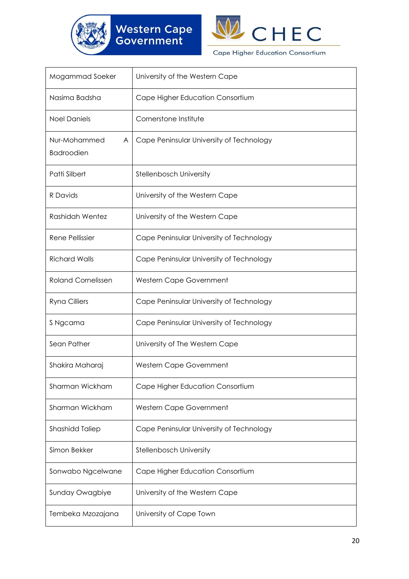



Cape Higher Education Consortium

| Mogammad Soeker                        | University of the Western Cape           |
|----------------------------------------|------------------------------------------|
| Nasima Badsha                          | Cape Higher Education Consortium         |
| <b>Noel Daniels</b>                    | Cornerstone Institute                    |
| Nur-Mohammed<br>A<br><b>Badroodien</b> | Cape Peninsular University of Technology |
| Patti Silbert                          | Stellenbosch University                  |
| R Davids                               | University of the Western Cape           |
| Rashidah Wentez                        | University of the Western Cape           |
| <b>Rene Pellissier</b>                 | Cape Peninsular University of Technology |
| <b>Richard Walls</b>                   | Cape Peninsular University of Technology |
| <b>Roland Cornelissen</b>              | Western Cape Government                  |
| <b>Ryna Cilliers</b>                   | Cape Peninsular University of Technology |
| S Ngcama                               | Cape Peninsular University of Technology |
| Sean Pather                            | University of The Western Cape           |
| Shakira Maharaj                        | Western Cape Government                  |
| Sharman Wickham                        | Cape Higher Education Consortium         |
| Sharman Wickham                        | Western Cape Government                  |
| Shashidd Taliep                        | Cape Peninsular University of Technology |
| Simon Bekker                           | Stellenbosch University                  |
| Sonwabo Ngcelwane                      | Cape Higher Education Consortium         |
| Sunday Owagbiye                        | University of the Western Cape           |
| Tembeka Mzozajana                      | University of Cape Town                  |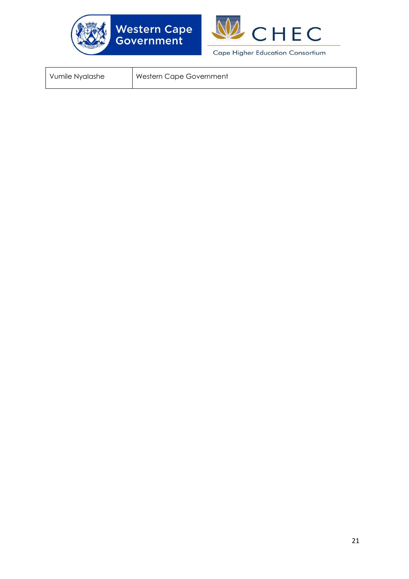



```
Vumile Nyalashe | Western Cape Government
```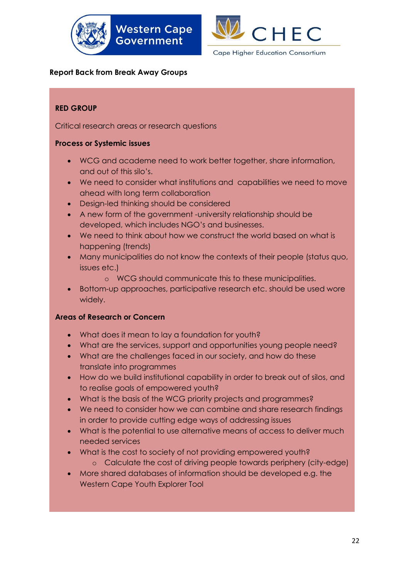



#### **Report Back from Break Away Groups**

#### **RED GROUP**

Critical research areas or research questions

#### **Process or Systemic issues**

- WCG and academe need to work better together, share information, and out of this silo's.
- We need to consider what institutions and capabilities we need to move ahead with long term collaboration
- Design-led thinking should be considered
- A new form of the government -university relationship should be developed, which includes NGO's and businesses.
- We need to think about how we construct the world based on what is happening (trends)
- Many municipalities do not know the contexts of their people (status quo, issues etc.)
	- o WCG should communicate this to these municipalities.
- Bottom-up approaches, participative research etc. should be used wore widely.

#### **Areas of Research or Concern**

- What does it mean to lay a foundation for youth?
- What are the services, support and opportunities young people need?
- What are the challenges faced in our society, and how do these translate into programmes
- How do we build institutional capability in order to break out of silos, and to realise goals of empowered youth?
- What is the basis of the WCG priority projects and programmes?
- We need to consider how we can combine and share research findings in order to provide cutting edge ways of addressing issues
- What is the potential to use alternative means of access to deliver much needed services
- What is the cost to society of not providing empowered youth?
	- o Calculate the cost of driving people towards periphery (city-edge)
- More shared databases of information should be developed e.g. the Western Cape Youth Explorer Tool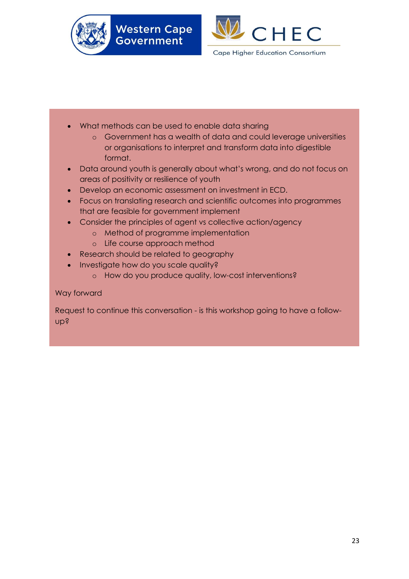



- What methods can be used to enable data sharing
	- o Government has a wealth of data and could leverage universities or organisations to interpret and transform data into digestible format.
- Data around youth is generally about what's wrong, and do not focus on areas of positivity or resilience of youth
- Develop an economic assessment on investment in ECD.
- Focus on translating research and scientific outcomes into programmes that are feasible for government implement
- Consider the principles of agent vs collective action/agency
	- o Method of programme implementation
	- o Life course approach method
- Research should be related to geography
- Investigate how do you scale quality?
	- o How do you produce quality, low-cost interventions?

#### Way forward

Request to continue this conversation - is this workshop going to have a followup?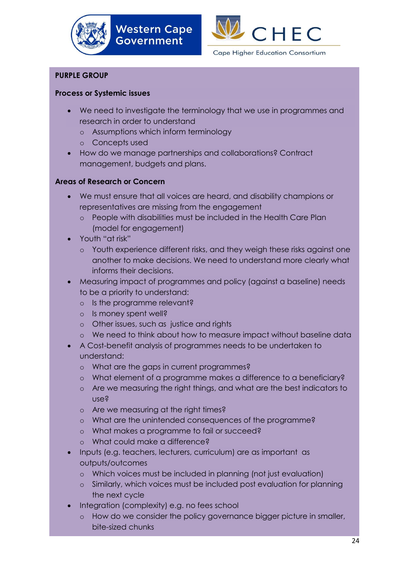



Cape Higher Education Consortium

#### **PURPLE GROUP**

#### **Process or Systemic issues**

- We need to investigate the terminology that we use in programmes and research in order to understand
	- o Assumptions which inform terminology
	- o Concepts used
- How do we manage partnerships and collaborations? Contract management, budgets and plans.

#### **Areas of Research or Concern**

- We must ensure that all voices are heard, and disability champions or representatives are missing from the engagement
	- o People with disabilities must be included in the Health Care Plan (model for engagement)
- Youth "at risk"
	- o Youth experience different risks, and they weigh these risks against one another to make decisions. We need to understand more clearly what informs their decisions.
- Measuring impact of programmes and policy (against a baseline) needs to be a priority to understand:
	- o Is the programme relevant?
	- o Is money spent well?
	- o Other issues, such as justice and rights
	- o We need to think about how to measure impact without baseline data
- A Cost-benefit analysis of programmes needs to be undertaken to understand:
	- o What are the gaps in current programmes?
	- o What element of a programme makes a difference to a beneficiary?
	- o Are we measuring the right things, and what are the best indicators to use?
	- o Are we measuring at the right times?
	- o What are the unintended consequences of the programme?
	- o What makes a programme to fail or succeed?
	- o What could make a difference?
- Inputs (e.g. teachers, lecturers, curriculum) are as important as outputs/outcomes
	- o Which voices must be included in planning (not just evaluation)
	- o Similarly, which voices must be included post evaluation for planning the next cycle
- Integration (complexity) e.g. no fees school
	- o How do we consider the policy governance bigger picture in smaller, bite-sized chunks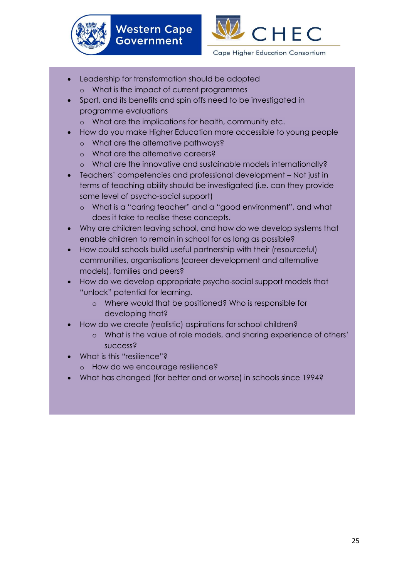



- Leadership for transformation should be adopted
	- o What is the impact of current programmes
- Sport, and its benefits and spin offs need to be investigated in programme evaluations
	- o What are the implications for health, community etc.
- How do you make Higher Education more accessible to young people
	- o What are the alternative pathways?
	- o What are the alternative careers?
	- o What are the innovative and sustainable models internationally?
- Teachers' competencies and professional development Not just in terms of teaching ability should be investigated (i.e. can they provide some level of psycho-social support)
	- o What is a "caring teacher" and a "good environment", and what does it take to realise these concepts.
- Why are children leaving school, and how do we develop systems that enable children to remain in school for as long as possible?
- How could schools build useful partnership with their (resourceful) communities, organisations (career development and alternative models), families and peers?
- How do we develop appropriate psycho-social support models that "unlock" potential for learning.
	- o Where would that be positioned? Who is responsible for developing that?
- How do we create (realistic) aspirations for school children?
	- o What is the value of role models, and sharing experience of others' success?
- What is this "resilience"?
	- o How do we encourage resilience?
- What has changed (for better and or worse) in schools since 1994?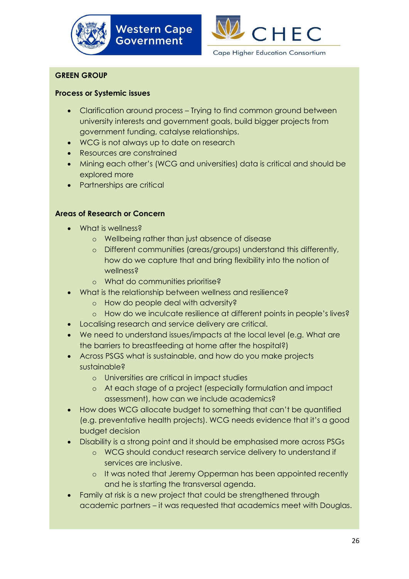



#### **GREEN GROUP**

#### **Process or Systemic issues**

- Clarification around process Trying to find common ground between university interests and government goals, build bigger projects from government funding, catalyse relationships.
- WCG is not always up to date on research
- Resources are constrained
- Mining each other's (WCG and universities) data is critical and should be explored more
- Partnerships are critical

#### **Areas of Research or Concern**

- What is wellness?
	- o Wellbeing rather than just absence of disease
	- o Different communities (areas/groups) understand this differently, how do we capture that and bring flexibility into the notion of wellness?
	- o What do communities prioritise?
- What is the relationship between wellness and resilience?
	- o How do people deal with adversity?
	- o How do we inculcate resilience at different points in people's lives?
- Localising research and service delivery are critical.
- We need to understand issues/impacts at the local level (e.g. What are the barriers to breastfeeding at home after the hospital?)
- Across PSGS what is sustainable, and how do you make projects sustainable?
	- o Universities are critical in impact studies
	- o At each stage of a project (especially formulation and impact assessment), how can we include academics?
- How does WCG allocate budget to something that can't be quantified (e.g. preventative health projects). WCG needs evidence that it's a good budget decision
- Disability is a strong point and it should be emphasised more across PSGs
	- o WCG should conduct research service delivery to understand if services are inclusive.
	- o It was noted that Jeremy Opperman has been appointed recently and he is starting the transversal agenda.
- Family at risk is a new project that could be strengthened through academic partners – it was requested that academics meet with Douglas.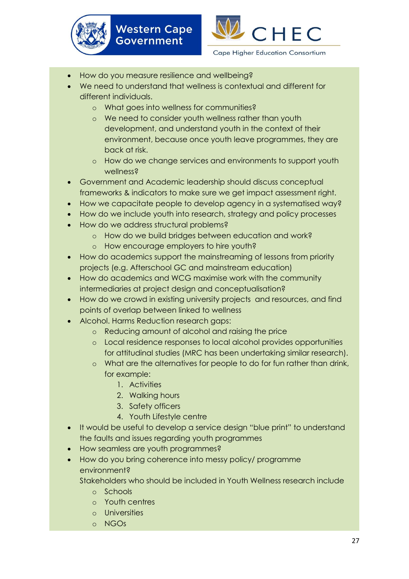



- How do you measure resilience and wellbeing?
- We need to understand that wellness is contextual and different for different individuals.
	- o What goes into wellness for communities?
	- o We need to consider youth wellness rather than youth development, and understand youth in the context of their environment, because once youth leave programmes, they are back at risk.
	- o How do we change services and environments to support youth wellness?
- Government and Academic leadership should discuss conceptual frameworks & indicators to make sure we get impact assessment right.
- How we capacitate people to develop agency in a systematised way?
- How do we include youth into research, strategy and policy processes
- How do we address structural problems?
	- o How do we build bridges between education and work?
	- o How encourage employers to hire youth?
- How do academics support the mainstreaming of lessons from priority projects (e.g. Afterschool GC and mainstream education)
- How do academics and WCG maximise work with the community intermediaries at project design and conceptualisation?
- How do we crowd in existing university projects and resources, and find points of overlap between linked to wellness
- Alcohol. Harms Reduction research gaps:
	- o Reducing amount of alcohol and raising the price
	- o Local residence responses to local alcohol provides opportunities for attitudinal studies (MRC has been undertaking similar research).
	- o What are the alternatives for people to do for fun rather than drink, for example:
		- 1. Activities
		- 2. Walking hours
		- 3. Safety officers
		- 4. Youth Lifestyle centre
- It would be useful to develop a service design "blue print" to understand the faults and issues regarding youth programmes
- How seamless are youth programmes?
- How do you bring coherence into messy policy/ programme environment?

Stakeholders who should be included in Youth Wellness research include

- o Schools
- o Youth centres
- o Universities
- o NGOs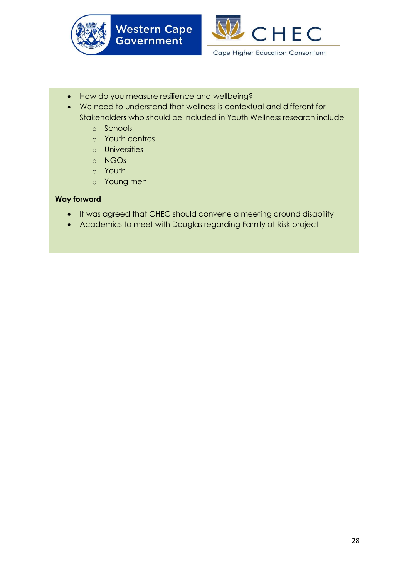



- How do you measure resilience and wellbeing?
- We need to understand that wellness is contextual and different for Stakeholders who should be included in Youth Wellness research include
	- o Schools
	- o Youth centres
	- o Universities
	- o NGOs
	- o Youth
	- o Young men

#### **Way forward**

- It was agreed that CHEC should convene a meeting around disability
- Academics to meet with Douglas regarding Family at Risk project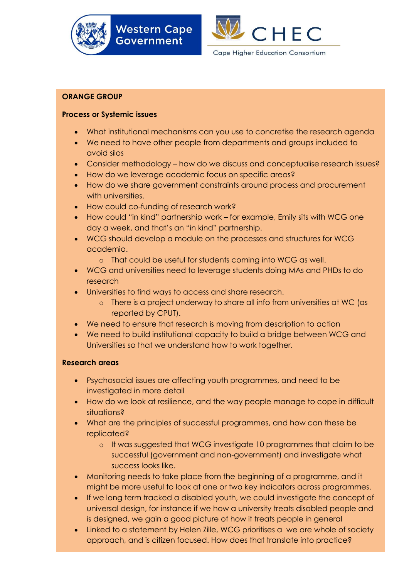



#### **ORANGE GROUP**

#### **Process or Systemic issues**

- What institutional mechanisms can you use to concretise the research agenda
- We need to have other people from departments and groups included to avoid silos
- Consider methodology how do we discuss and conceptualise research issues?
- How do we leverage academic focus on specific areas?
- How do we share government constraints around process and procurement with universities.
- How could co-funding of research work?
- How could "in kind" partnership work for example, Emily sits with WCG one day a week, and that's an "in kind" partnership.
- WCG should develop a module on the processes and structures for WCG academia.
	- o That could be useful for students coming into WCG as well.
- WCG and universities need to leverage students doing MAs and PHDs to do research
- Universities to find ways to access and share research.
	- o There is a project underway to share all info from universities at WC (as reported by CPUT).
- We need to ensure that research is moving from description to action
- We need to build institutional capacity to build a bridge between WCG and Universities so that we understand how to work together.

#### **Research areas**

- Psychosocial issues are affecting youth programmes, and need to be investigated in more detail
- How do we look at resilience, and the way people manage to cope in difficult situations?
- What are the principles of successful programmes, and how can these be replicated?
	- o It was suggested that WCG investigate 10 programmes that claim to be successful (government and non-government) and investigate what success looks like.
- Monitoring needs to take place from the beginning of a programme, and it might be more useful to look at one or two key indicators across programmes.
- If we long term tracked a disabled youth, we could investigate the concept of universal design, for instance if we how a university treats disabled people and is designed, we gain a good picture of how it treats people in general
- 29 approach, and is citizen focused. How does that translate into practice?Linked to a statement by Helen Zille, WCG prioritises a we are whole of society